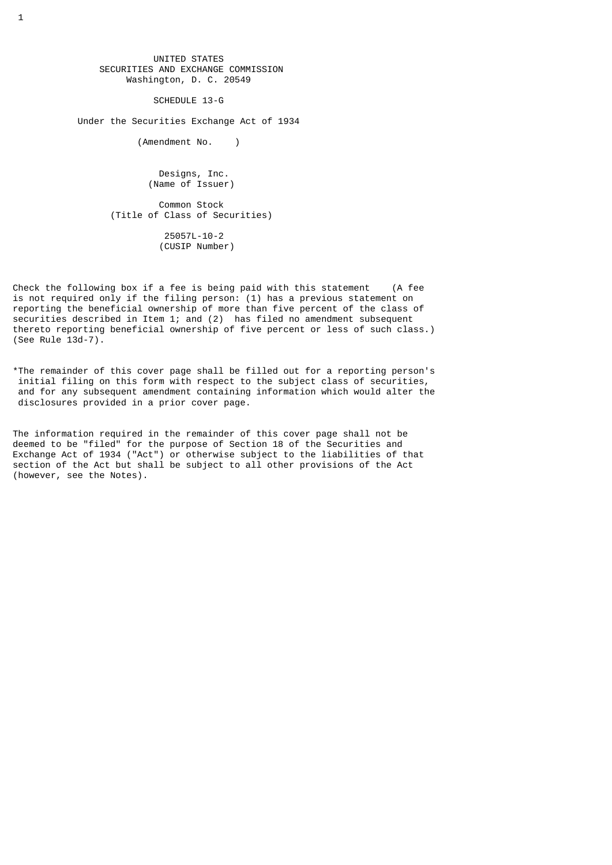UNITED STATES SECURITIES AND EXCHANGE COMMISSION Washington, D. C. 20549

SCHEDULE 13-G

Under the Securities Exchange Act of 1934

(Amendment No. )

 Designs, Inc. (Name of Issuer)

 Common Stock (Title of Class of Securities) 25057L-10-2 (CUSIP Number)

Check the following box if a fee is being paid with this statement (A fee is not required only if the filing person: (1) has a previous statement on reporting the beneficial ownership of more than five percent of the class of securities described in Item 1; and (2) has filed no amendment subsequent thereto reporting beneficial ownership of five percent or less of such class.) (See Rule 13d-7).

\*The remainder of this cover page shall be filled out for a reporting person's initial filing on this form with respect to the subject class of securities, and for any subsequent amendment containing information which would alter the disclosures provided in a prior cover page.

The information required in the remainder of this cover page shall not be deemed to be "filed" for the purpose of Section 18 of the Securities and Exchange Act of 1934 ("Act") or otherwise subject to the liabilities of that section of the Act but shall be subject to all other provisions of the Act (however, see the Notes).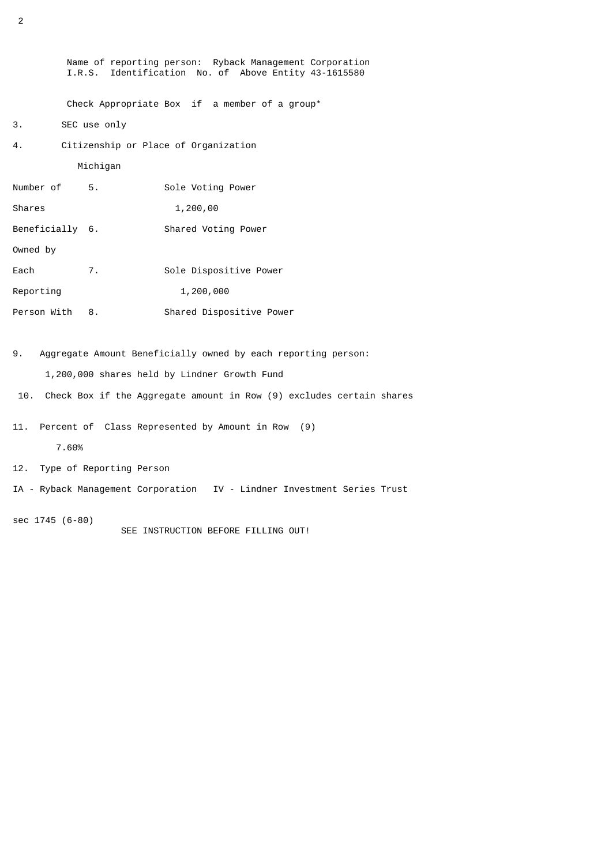Name of reporting person: Ryback Management Corporation I.R.S. Identification No. of Above Entity 43-1615580 Check Appropriate Box if a member of a group\* 3. SEC use only 4. Citizenship or Place of Organization Michigan Number of 5. Sole Voting Power Shares 1,200,00 Beneficially 6. Shared Voting Power Owned by Each 7. Sole Dispositive Power Reporting 1,200,000 Person With 8. Shared Dispositive Power

9. Aggregate Amount Beneficially owned by each reporting person:

1,200,000 shares held by Lindner Growth Fund

- 10. Check Box if the Aggregate amount in Row (9) excludes certain shares
- 11. Percent of Class Represented by Amount in Row (9)
	- 7.60%
- 12. Type of Reporting Person
- IA Ryback Management Corporation IV Lindner Investment Series Trust
- sec 1745 (6-80) SEE INSTRUCTION BEFORE FILLING OUT!

2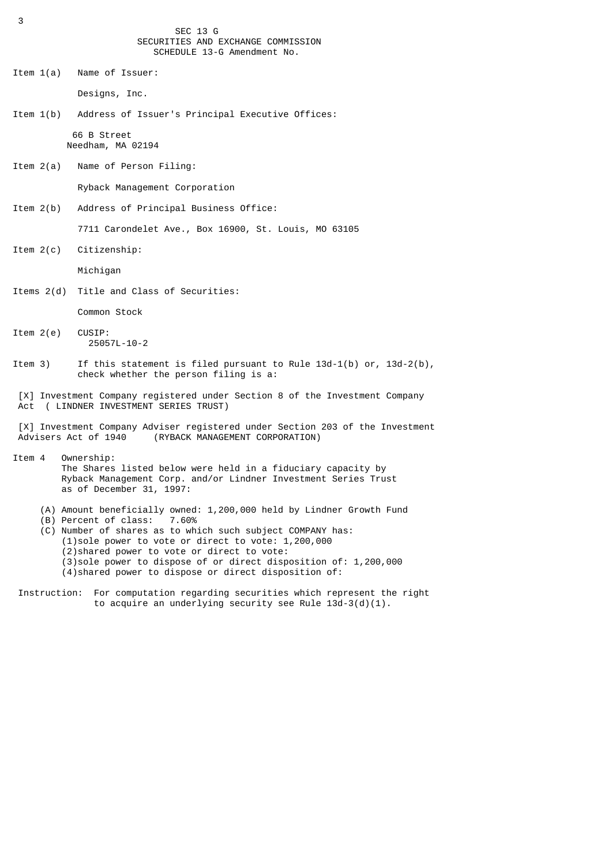SEC 13 G SECURITIES AND EXCHANGE COMMISSION SCHEDULE 13-G Amendment No.

Item 1(a) Name of Issuer:

Designs, Inc.

Item 1(b) Address of Issuer's Principal Executive Offices: 66 B Street

Needham, MA 02194

Item 2(a) Name of Person Filing:

Ryback Management Corporation

Item 2(b) Address of Principal Business Office:

7711 Carondelet Ave., Box 16900, St. Louis, MO 63105

Item 2(c) Citizenship:

Michigan

Items 2(d) Title and Class of Securities:

Common Stock

- Item 2(e) CUSIP: 25057L-10-2
- Item 3) If this statement is filed pursuant to Rule 13d-1(b) or, 13d-2(b), check whether the person filing is a:
- [X] Investment Company registered under Section 8 of the Investment Company Act ( LINDNER INVESTMENT SERIES TRUST)

[X] Investment Company Adviser registered under Section 203 of the Investment<br>Advisers Act of 1940 (RYBACK MANAGEMENT CORPORATION) (RYBACK MANAGEMENT CORPORATION)

- Item 4 Ownership: The Shares listed below were held in a fiduciary capacity by Ryback Management Corp. and/or Lindner Investment Series Trust as of December 31, 1997:
	- (A) Amount beneficially owned: 1,200,000 held by Lindner Growth Fund (B) Percent of class: 7.60%
	- (B) Percent of class:
	- (C) Number of shares as to which such subject COMPANY has: (1)sole power to vote or direct to vote: 1,200,000 (2)shared power to vote or direct to vote: (3)sole power to dispose of or direct disposition of: 1,200,000 (4)shared power to dispose or direct disposition of:
- Instruction: For computation regarding securities which represent the right to acquire an underlying security see Rule 13d-3(d)(1).